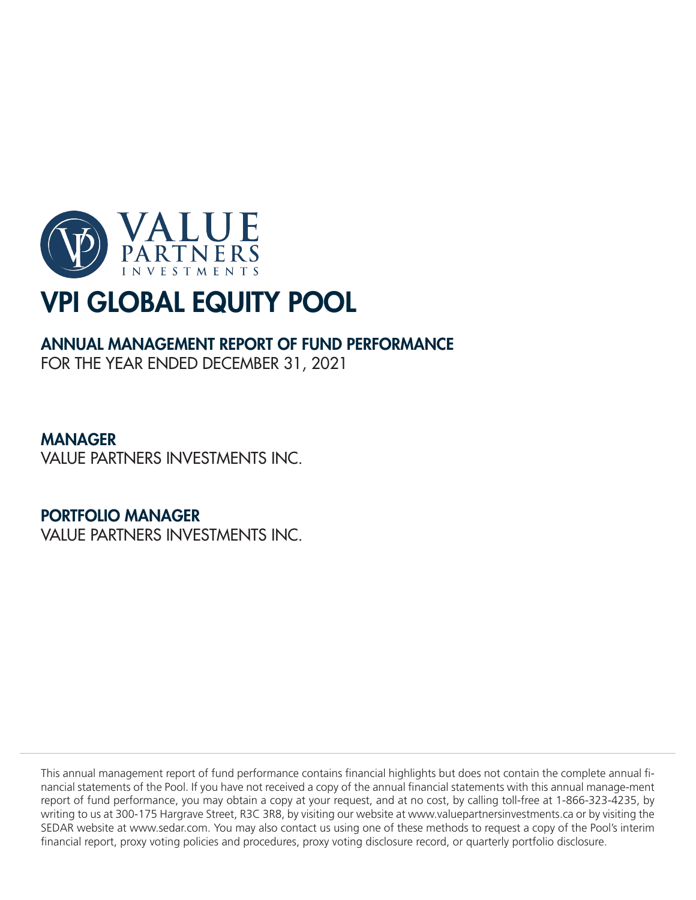

## ANNUAL MANAGEMENT REPORT OF FUND PERFORMANCE

FOR THE YEAR ENDED DECEMBER 31, 2021

## MANAGER

VALUE PARTNERS INVESTMENTS INC.

## PORTFOLIO MANAGER

VALUE PARTNERS INVESTMENTS INC.

This annual management report of fund performance contains financial highlights but does not contain the complete annual financial statements of the Pool. If you have not received a copy of the annual financial statements with this annual manage-ment report of fund performance, you may obtain a copy at your request, and at no cost, by calling toll-free at 1-866-323-4235, by writing to us at 300-175 Hargrave Street, R3C 3R8, by visiting our website at www.valuepartnersinvestments.ca or by visiting the SEDAR website at www.sedar.com. You may also contact us using one of these methods to request a copy of the Pool's interim financial report, proxy voting policies and procedures, proxy voting disclosure record, or quarterly portfolio disclosure.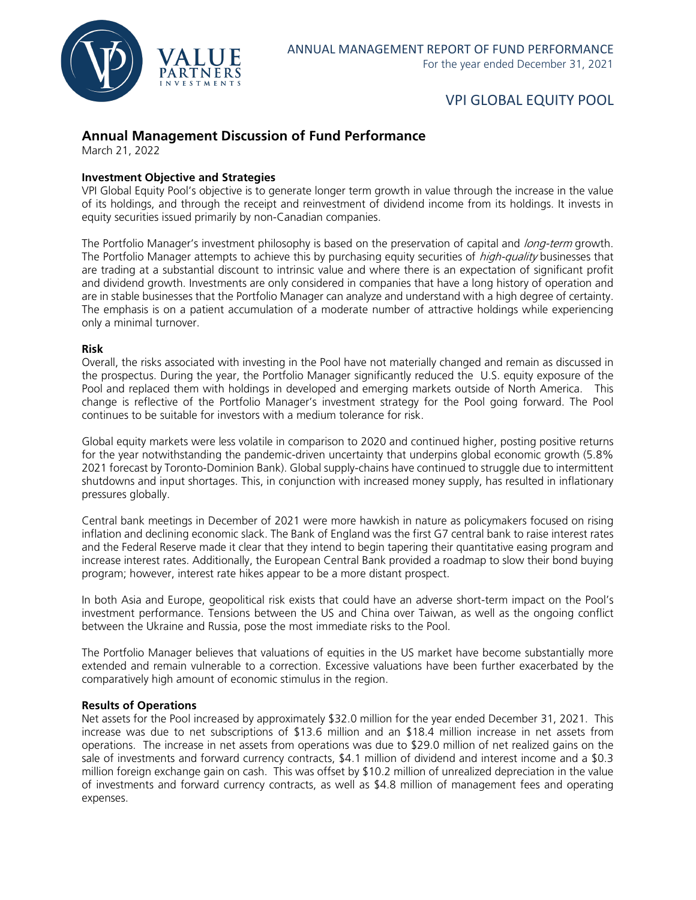

### **Annual Management Discussion of Fund Performance**

March 21, 2022

#### **Investment Objective and Strategies**

VPI Global Equity Pool's objective is to generate longer term growth in value through the increase in the value of its holdings, and through the receipt and reinvestment of dividend income from its holdings. It invests in equity securities issued primarily by non-Canadian companies.

The Portfolio Manager's investment philosophy is based on the preservation of capital and long-term growth. The Portfolio Manager attempts to achieve this by purchasing equity securities of *high-quality* businesses that are trading at a substantial discount to intrinsic value and where there is an expectation of significant profit and dividend growth. Investments are only considered in companies that have a long history of operation and are in stable businesses that the Portfolio Manager can analyze and understand with a high degree of certainty. The emphasis is on a patient accumulation of a moderate number of attractive holdings while experiencing only a minimal turnover.

#### **Risk**

Overall, the risks associated with investing in the Pool have not materially changed and remain as discussed in the prospectus. During the year, the Portfolio Manager significantly reduced the U.S. equity exposure of the Pool and replaced them with holdings in developed and emerging markets outside of North America. This change is reflective of the Portfolio Manager's investment strategy for the Pool going forward. The Pool continues to be suitable for investors with a medium tolerance for risk.

Global equity markets were less volatile in comparison to 2020 and continued higher, posting positive returns for the year notwithstanding the pandemic-driven uncertainty that underpins global economic growth (5.8% 2021 forecast by Toronto-Dominion Bank). Global supply-chains have continued to struggle due to intermittent shutdowns and input shortages. This, in conjunction with increased money supply, has resulted in inflationary pressures globally.

Central bank meetings in December of 2021 were more hawkish in nature as policymakers focused on rising inflation and declining economic slack. The Bank of England was the first G7 central bank to raise interest rates and the Federal Reserve made it clear that they intend to begin tapering their quantitative easing program and increase interest rates. Additionally, the European Central Bank provided a roadmap to slow their bond buying program; however, interest rate hikes appear to be a more distant prospect.

In both Asia and Europe, geopolitical risk exists that could have an adverse short-term impact on the Pool's investment performance. Tensions between the US and China over Taiwan, as well as the ongoing conflict between the Ukraine and Russia, pose the most immediate risks to the Pool.

The Portfolio Manager believes that valuations of equities in the US market have become substantially more extended and remain vulnerable to a correction. Excessive valuations have been further exacerbated by the comparatively high amount of economic stimulus in the region.

#### **Results of Operations**

Net assets for the Pool increased by approximately \$32.0 million for the year ended December 31, 2021. This increase was due to net subscriptions of \$13.6 million and an \$18.4 million increase in net assets from operations. The increase in net assets from operations was due to \$29.0 million of net realized gains on the sale of investments and forward currency contracts, \$4.1 million of dividend and interest income and a \$0.3 million foreign exchange gain on cash. This was offset by \$10.2 million of unrealized depreciation in the value of investments and forward currency contracts, as well as \$4.8 million of management fees and operating expenses.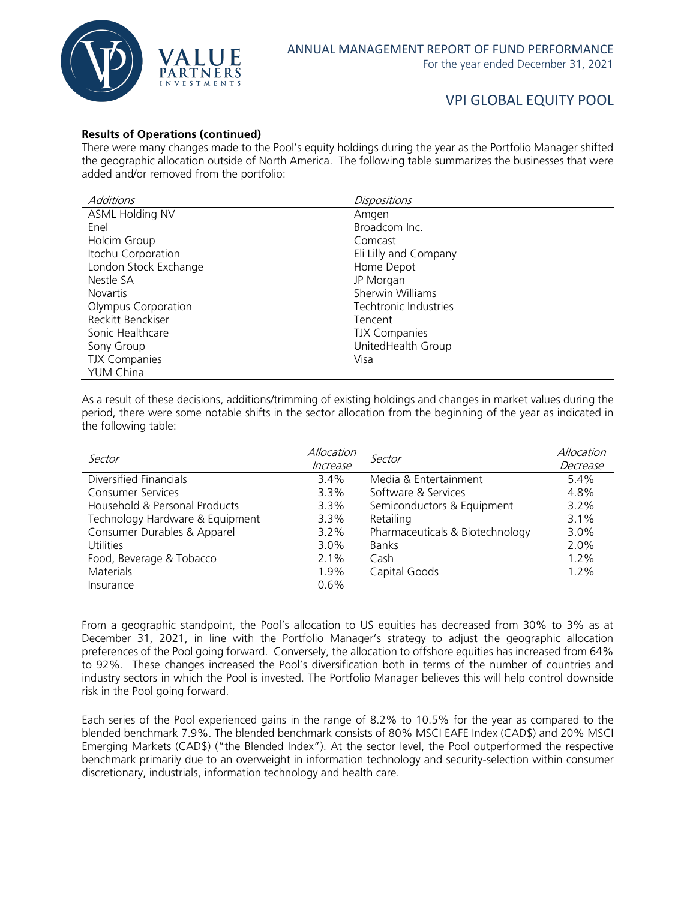

#### **Results of Operations (continued)**

There were many changes made to the Pool's equity holdings during the year as the Portfolio Manager shifted the geographic allocation outside of North America. The following table summarizes the businesses that were added and/or removed from the portfolio:

| <b>Additions</b>      | <b>Dispositions</b>   |
|-----------------------|-----------------------|
| ASML Holding NV       | Amgen                 |
| Enel                  | Broadcom Inc.         |
| Holcim Group          | Comcast               |
| Itochu Corporation    | Eli Lilly and Company |
| London Stock Exchange | Home Depot            |
| Nestle SA             | JP Morgan             |
| <b>Novartis</b>       | Sherwin Williams      |
| Olympus Corporation   | Techtronic Industries |
| Reckitt Benckiser     | Tencent               |
| Sonic Healthcare      | <b>TJX Companies</b>  |
| Sony Group            | UnitedHealth Group    |
| <b>TJX Companies</b>  | Visa                  |
| <b>YUM China</b>      |                       |

As a result of these decisions, additions/trimming of existing holdings and changes in market values during the period, there were some notable shifts in the sector allocation from the beginning of the year as indicated in the following table:

| Sector                          | Allocation | Sector                          | Allocation |
|---------------------------------|------------|---------------------------------|------------|
|                                 | Increase   |                                 | Decrease   |
| Diversified Financials          | 3.4%       | Media & Entertainment           | $5.4\%$    |
| <b>Consumer Services</b>        | $3.3\%$    | Software & Services             | 4.8%       |
| Household & Personal Products   | 3.3%       | Semiconductors & Equipment      | $3.2\%$    |
| Technology Hardware & Equipment | $3.3\%$    | Retailing                       | $3.1\%$    |
| Consumer Durables & Apparel     | $3.2\%$    | Pharmaceuticals & Biotechnology | 3.0%       |
| <b>Utilities</b>                | $3.0\%$    | <b>Banks</b>                    | 2.0%       |
| Food, Beverage & Tobacco        | $2.1\%$    | Cash                            | $1.2\%$    |
| <b>Materials</b>                | 1.9%       | Capital Goods                   | $1.2\%$    |
| Insurance                       | $0.6\%$    |                                 |            |
|                                 |            |                                 |            |

From a geographic standpoint, the Pool's allocation to US equities has decreased from 30% to 3% as at December 31, 2021, in line with the Portfolio Manager's strategy to adjust the geographic allocation preferences of the Pool going forward. Conversely, the allocation to offshore equities has increased from 64% to 92%. These changes increased the Pool's diversification both in terms of the number of countries and industry sectors in which the Pool is invested. The Portfolio Manager believes this will help control downside risk in the Pool going forward.

Each series of the Pool experienced gains in the range of 8.2% to 10.5% for the year as compared to the blended benchmark 7.9%. The blended benchmark consists of 80% MSCI EAFE Index (CAD\$) and 20% MSCI Emerging Markets (CAD\$) ("the Blended Index"). At the sector level, the Pool outperformed the respective benchmark primarily due to an overweight in information technology and security-selection within consumer discretionary, industrials, information technology and health care.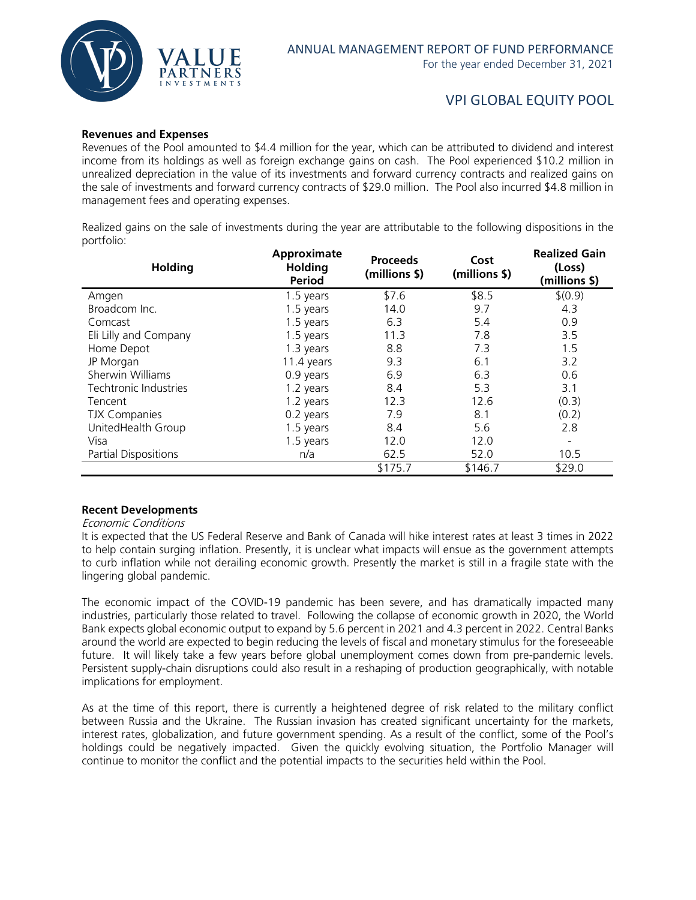

#### **Revenues and Expenses**

Revenues of the Pool amounted to \$4.4 million for the year, which can be attributed to dividend and interest income from its holdings as well as foreign exchange gains on cash. The Pool experienced \$10.2 million in unrealized depreciation in the value of its investments and forward currency contracts and realized gains on the sale of investments and forward currency contracts of \$29.0 million. The Pool also incurred \$4.8 million in management fees and operating expenses.

Realized gains on the sale of investments during the year are attributable to the following dispositions in the portfolio:

| <b>Holding</b>              | Approximate<br><b>Holding</b><br><b>Period</b> | <b>Proceeds</b><br>(millions \$) | Cost<br>(millions \$) | <b>Realized Gain</b><br>(Loss)<br>(millions \$) |
|-----------------------------|------------------------------------------------|----------------------------------|-----------------------|-------------------------------------------------|
| Amgen                       | 1.5 years                                      | \$7.6                            | \$8.5                 | \$(0.9)                                         |
| Broadcom Inc.               | 1.5 years                                      | 14.0                             | 9.7                   | 4.3                                             |
| Comcast                     | 1.5 years                                      | 6.3                              | 5.4                   | 0.9                                             |
| Eli Lilly and Company       | 1.5 years                                      | 11.3                             | 7.8                   | 3.5                                             |
| Home Depot                  | 1.3 years                                      | 8.8                              | 7.3                   | 1.5                                             |
| JP Morgan                   | 11.4 years                                     | 9.3                              | 6.1                   | 3.2                                             |
| Sherwin Williams            | 0.9 years                                      | 6.9                              | 6.3                   | 0.6                                             |
| Techtronic Industries       | 1.2 years                                      | 8.4                              | 5.3                   | 3.1                                             |
| Tencent                     | 1.2 years                                      | 12.3                             | 12.6                  | (0.3)                                           |
| <b>TJX Companies</b>        | 0.2 years                                      | 7.9                              | 8.1                   | (0.2)                                           |
| UnitedHealth Group          | 1.5 years                                      | 8.4                              | 5.6                   | 2.8                                             |
| Visa                        | 1.5 years                                      | 12.0                             | 12.0                  | $\overline{\phantom{a}}$                        |
| <b>Partial Dispositions</b> | n/a                                            | 62.5                             | 52.0                  | 10.5                                            |
|                             |                                                | \$175.7                          | \$146.7               | \$29.0                                          |

#### **Recent Developments**

Economic Conditions

It is expected that the US Federal Reserve and Bank of Canada will hike interest rates at least 3 times in 2022 to help contain surging inflation. Presently, it is unclear what impacts will ensue as the government attempts to curb inflation while not derailing economic growth. Presently the market is still in a fragile state with the lingering global pandemic.

The economic impact of the COVID-19 pandemic has been severe, and has dramatically impacted many industries, particularly those related to travel. Following the collapse of economic growth in 2020, the World Bank expects global economic output to expand by 5.6 percent in 2021 and 4.3 percent in 2022. Central Banks around the world are expected to begin reducing the levels of fiscal and monetary stimulus for the foreseeable future. It will likely take a few years before global unemployment comes down from pre-pandemic levels. Persistent supply-chain disruptions could also result in a reshaping of production geographically, with notable implications for employment.

As at the time of this report, there is currently a heightened degree of risk related to the military conflict between Russia and the Ukraine. The Russian invasion has created significant uncertainty for the markets, interest rates, globalization, and future government spending. As a result of the conflict, some of the Pool's holdings could be negatively impacted. Given the quickly evolving situation, the Portfolio Manager will continue to monitor the conflict and the potential impacts to the securities held within the Pool.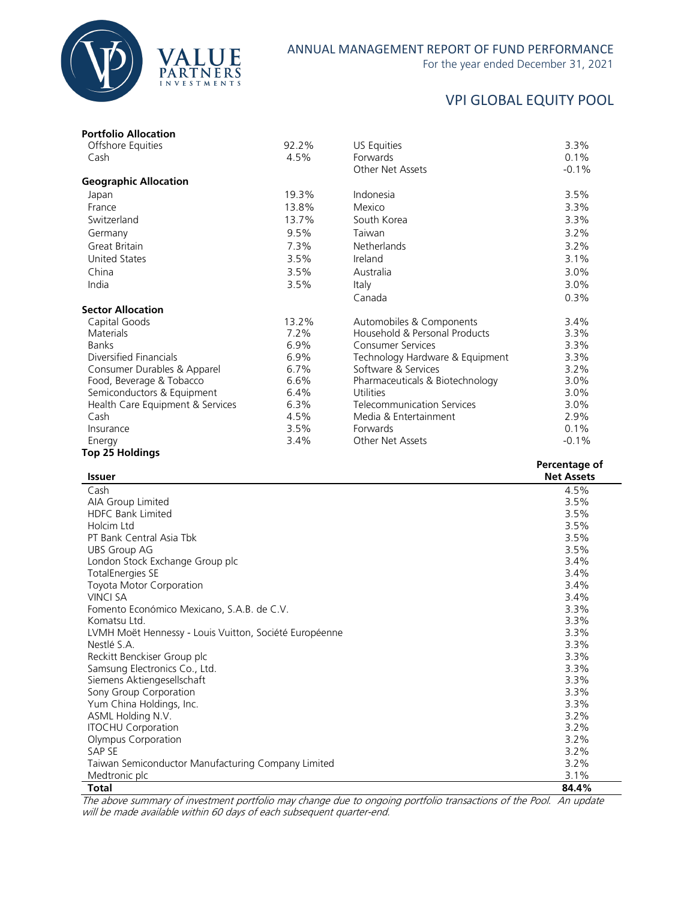

#### ANNUAL MANAGEMENT REPORT OF FUND PERFORMANCE

For the year ended December 31, 2021

## VPI GLOBAL EQUITY POOL

| <b>Portfolio Allocation</b>      |       |                                   |               |
|----------------------------------|-------|-----------------------------------|---------------|
| Offshore Equities                | 92.2% | US Equities                       | 3.3%          |
| Cash                             | 4.5%  | Forwards                          | 0.1%          |
|                                  |       | Other Net Assets                  | $-0.1%$       |
| <b>Geographic Allocation</b>     |       |                                   |               |
| Japan                            | 19.3% | Indonesia                         | 3.5%          |
| France                           | 13.8% | Mexico                            | 3.3%          |
| Switzerland                      | 13.7% | South Korea                       | 3.3%          |
| Germany                          | 9.5%  | Taiwan                            | 3.2%          |
| Great Britain                    | 7.3%  | <b>Netherlands</b>                | 3.2%          |
| <b>United States</b>             | 3.5%  | Ireland                           | 3.1%          |
| China                            | 3.5%  | Australia                         | 3.0%          |
| India                            | 3.5%  | Italy                             | 3.0%          |
|                                  |       | Canada                            | 0.3%          |
| <b>Sector Allocation</b>         |       |                                   |               |
| Capital Goods                    | 13.2% | Automobiles & Components          | 3.4%          |
| <b>Materials</b>                 | 7.2%  | Household & Personal Products     | 3.3%          |
| <b>Banks</b>                     | 6.9%  | <b>Consumer Services</b>          | 3.3%          |
| Diversified Financials           | 6.9%  | Technology Hardware & Equipment   | 3.3%          |
| Consumer Durables & Apparel      | 6.7%  | Software & Services               | 3.2%          |
| Food, Beverage & Tobacco         | 6.6%  | Pharmaceuticals & Biotechnology   | 3.0%          |
| Semiconductors & Equipment       | 6.4%  | Utilities                         | 3.0%          |
| Health Care Equipment & Services | 6.3%  | <b>Telecommunication Services</b> | 3.0%          |
| Cash                             | 4.5%  | Media & Entertainment             | 2.9%          |
| Insurance                        | 3.5%  | Forwards                          | 0.1%          |
| Energy                           | 3.4%  | Other Net Assets                  | $-0.1%$       |
| <b>Top 25 Holdings</b>           |       |                                   |               |
|                                  |       |                                   | Darcantaga of |

| <b>Issuer</b>                                          | <b>Felcelitage Of</b><br><b>Net Assets</b> |
|--------------------------------------------------------|--------------------------------------------|
| Cash                                                   | 4.5%                                       |
| AIA Group Limited                                      | 3.5%                                       |
| <b>HDFC Bank Limited</b>                               | 3.5%                                       |
| Holcim Ltd                                             | 3.5%                                       |
| PT Bank Central Asia Tbk                               | 3.5%                                       |
| <b>UBS Group AG</b>                                    | 3.5%                                       |
| London Stock Exchange Group plc                        | 3.4%                                       |
| <b>TotalEnergies SE</b>                                | 3.4%                                       |
| Toyota Motor Corporation                               | 3.4%                                       |
| <b>VINCI SA</b>                                        | 3.4%                                       |
| Fomento Económico Mexicano, S.A.B. de C.V.             | 3.3%                                       |
| Komatsu Ltd.                                           | 3.3%                                       |
| LVMH Moët Hennessy - Louis Vuitton, Société Européenne | 3.3%                                       |
| Nestlé S.A.                                            | 3.3%                                       |
| Reckitt Benckiser Group plc                            | 3.3%                                       |
| Samsung Electronics Co., Ltd.                          | 3.3%                                       |
| Siemens Aktiengesellschaft                             | 3.3%                                       |
| Sony Group Corporation                                 | 3.3%                                       |
| Yum China Holdings, Inc.                               | 3.3%                                       |
| ASML Holding N.V.                                      | 3.2%                                       |
| <b>ITOCHU Corporation</b>                              | 3.2%                                       |
| Olympus Corporation                                    | 3.2%                                       |
| SAP SE                                                 | 3.2%                                       |
| Taiwan Semiconductor Manufacturing Company Limited     | 3.2%                                       |
| Medtronic plc                                          | 3.1%                                       |
| <b>Total</b>                                           | 84.4%                                      |

The above summary of investment portfolio may change due to ongoing portfolio transactions of the Pool. An update will be made available within 60 days of each subsequent quarter-end.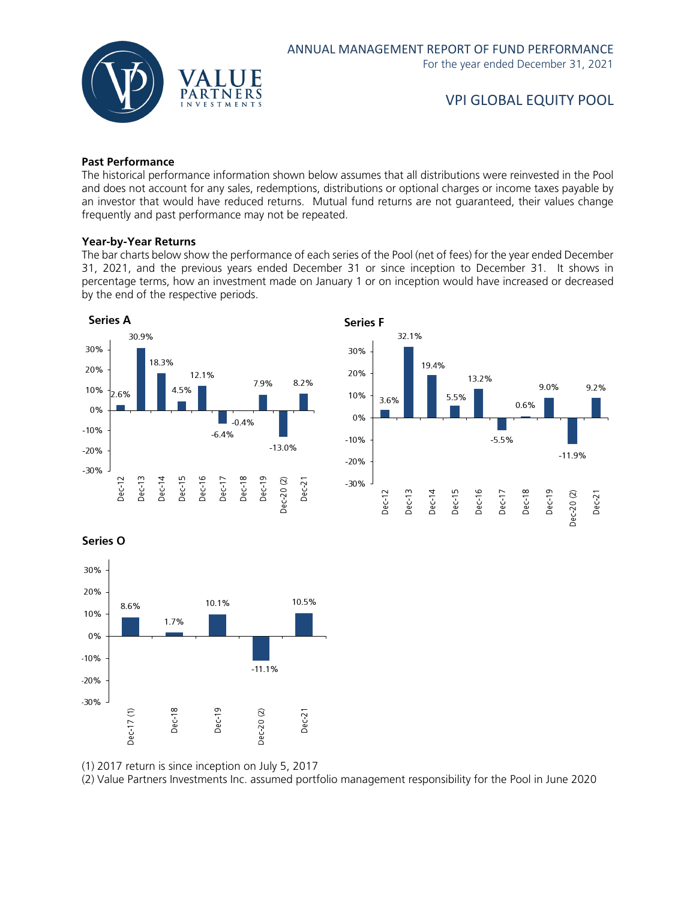

#### **Past Performance**

The historical performance information shown below assumes that all distributions were reinvested in the Pool and does not account for any sales, redemptions, distributions or optional charges or income taxes payable by an investor that would have reduced returns. Mutual fund returns are not guaranteed, their values change frequently and past performance may not be repeated.

#### **Year-by-Year Returns**

The bar charts below show the performance of each series of the Pool (net of fees) for the year ended December 31, 2021, and the previous years ended December 31 or since inception to December 31. It shows in percentage terms, how an investment made on January 1 or on inception would have increased or decreased by the end of the respective periods.





Series O



(1) 2017 return is since inception on July 5, 2017

(2) Value Partners Investments Inc. assumed portfolio management responsibility for the Pool in June 2020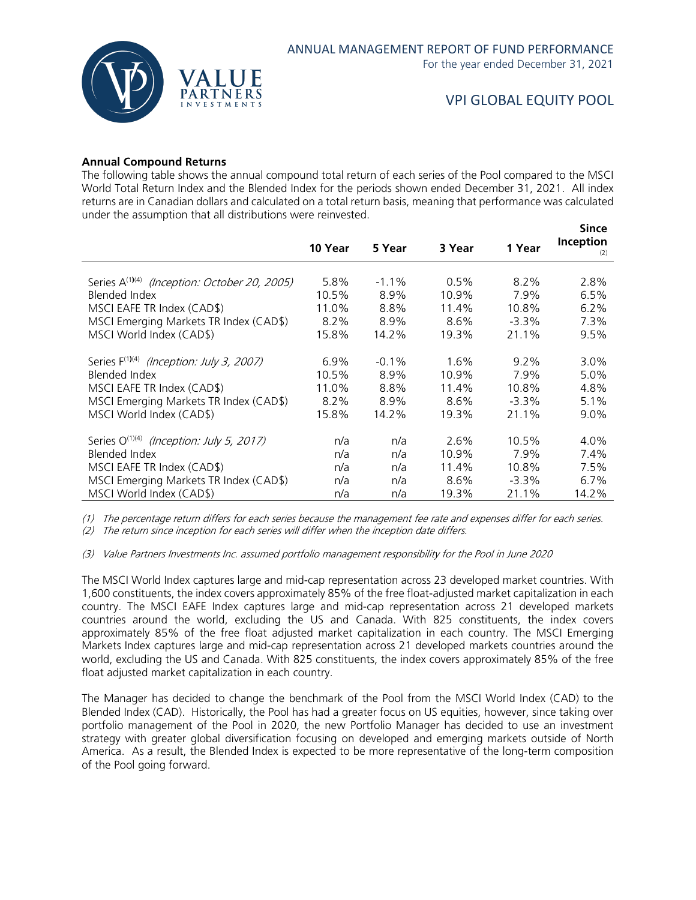

#### **Annual Compound Returns**

The following table shows the annual compound total return of each series of the Pool compared to the MSCI World Total Return Index and the Blended Index for the periods shown ended December 31, 2021. All index returns are in Canadian dollars and calculated on a total return basis, meaning that performance was calculated under the assumption that all distributions were reinvested.

|                                                          | 10 Year | 5 Year   | 3 Year  | 1 Year   | Since<br>Inception<br>(2) |
|----------------------------------------------------------|---------|----------|---------|----------|---------------------------|
| Series A <sup>(1)(4)</sup> (Inception: October 20, 2005) | 5.8%    | $-1.1\%$ | $0.5\%$ | $8.2\%$  | 2.8%                      |
| Blended Index                                            | 10.5%   | 8.9%     | 10.9%   | 7.9%     | 6.5%                      |
| MSCI EAFE TR Index (CAD\$)                               | 11.0%   | 8.8%     | 11.4%   | 10.8%    | 6.2%                      |
| MSCI Emerging Markets TR Index (CAD\$)                   | 8.2%    | 8.9%     | 8.6%    | $-3.3%$  | 7.3%                      |
| MSCI World Index (CAD\$)                                 | 15.8%   | 14.2%    | 19.3%   | 21.1%    | 9.5%                      |
| Series F <sup>(1)(4)</sup> (Inception: July 3, 2007)     | $6.9\%$ | $-0.1\%$ | $1.6\%$ | $9.2\%$  | $3.0\%$                   |
| Blended Index                                            | 10.5%   | 8.9%     | 10.9%   | 7.9%     | 5.0%                      |
| MSCI EAFE TR Index (CAD\$)                               | 11.0%   | 8.8%     | 11.4%   | 10.8%    | 4.8%                      |
| MSCI Emerging Markets TR Index (CAD\$)                   | 8.2%    | 8.9%     | 8.6%    | $-3.3\%$ | 5.1%                      |
| MSCI World Index (CAD\$)                                 | 15.8%   | 14.2%    | 19.3%   | 21.1%    | $9.0\%$                   |
| Series O <sup>(1)(4)</sup> (Inception: July 5, 2017)     | n/a     | n/a      | 2.6%    | 10.5%    | $4.0\%$                   |
| Blended Index                                            | n/a     | n/a      | 10.9%   | 7.9%     | 7.4%                      |
| MSCI EAFE TR Index (CAD\$)                               | n/a     | n/a      | 11.4%   | 10.8%    | 7.5%                      |
| MSCI Emerging Markets TR Index (CAD\$)                   | n/a     | n/a      | 8.6%    | $-3.3\%$ | $6.7\%$                   |
| MSCI World Index (CAD\$)                                 | n/a     | n/a      | 19.3%   | 21.1%    | 14.2%                     |

(1) The percentage return differs for each series because the management fee rate and expenses differ for each series.

(2) The return since inception for each series will differ when the inception date differs.

(3) Value Partners Investments Inc. assumed portfolio management responsibility for the Pool in June 2020

The MSCI World Index captures large and mid-cap representation across 23 developed market countries. With 1,600 constituents, the index covers approximately 85% of the free float-adjusted market capitalization in each country. The MSCI EAFE Index captures large and mid-cap representation across 21 developed markets countries around the world, excluding the US and Canada. With 825 constituents, the index covers approximately 85% of the free float adjusted market capitalization in each country. The MSCI Emerging Markets Index captures large and mid-cap representation across 21 developed markets countries around the world, excluding the US and Canada. With 825 constituents, the index covers approximately 85% of the free float adjusted market capitalization in each country.

The Manager has decided to change the benchmark of the Pool from the MSCI World Index (CAD) to the Blended Index (CAD). Historically, the Pool has had a greater focus on US equities, however, since taking over portfolio management of the Pool in 2020, the new Portfolio Manager has decided to use an investment strategy with greater global diversification focusing on developed and emerging markets outside of North America. As a result, the Blended Index is expected to be more representative of the long-term composition of the Pool going forward.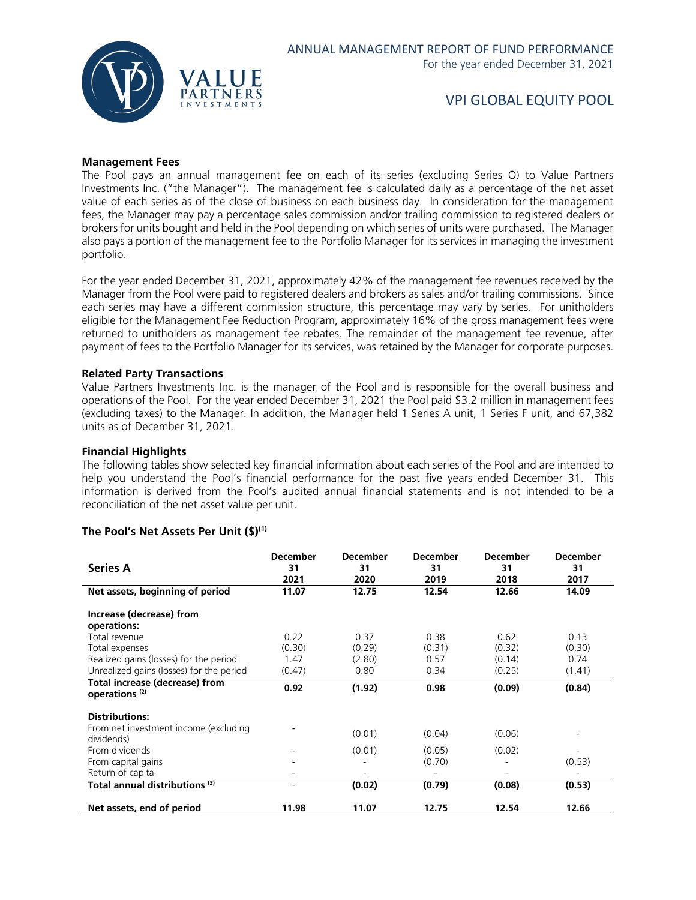

#### **Management Fees**

The Pool pays an annual management fee on each of its series (excluding Series O) to Value Partners Investments Inc. ("the Manager"). The management fee is calculated daily as a percentage of the net asset value of each series as of the close of business on each business day. In consideration for the management fees, the Manager may pay a percentage sales commission and/or trailing commission to registered dealers or brokers for units bought and held in the Pool depending on which series of units were purchased. The Manager also pays a portion of the management fee to the Portfolio Manager for its services in managing the investment portfolio.

For the year ended December 31, 2021, approximately 42% of the management fee revenues received by the Manager from the Pool were paid to registered dealers and brokers as sales and/or trailing commissions. Since each series may have a different commission structure, this percentage may vary by series. For unitholders eligible for the Management Fee Reduction Program, approximately 16% of the gross management fees were returned to unitholders as management fee rebates. The remainder of the management fee revenue, after payment of fees to the Portfolio Manager for its services, was retained by the Manager for corporate purposes.

#### **Related Party Transactions**

Value Partners Investments Inc. is the manager of the Pool and is responsible for the overall business and operations of the Pool. For the year ended December 31, 2021 the Pool paid \$3.2 million in management fees (excluding taxes) to the Manager. In addition, the Manager held 1 Series A unit, 1 Series F unit, and 67,382 units as of December 31, 2021.

#### **Financial Highlights**

The following tables show selected key financial information about each series of the Pool and are intended to help you understand the Pool's financial performance for the past five years ended December 31. This information is derived from the Pool's audited annual financial statements and is not intended to be a reconciliation of the net asset value per unit.

#### **The Pool's Net Assets Per Unit (\$)(1)**

| <b>Series A</b>                                             | <b>December</b><br>31<br>2021 | <b>December</b><br>31<br>2020 | <b>December</b><br>31<br>2019 | <b>December</b><br>31<br>2018 | <b>December</b><br>31<br>2017 |
|-------------------------------------------------------------|-------------------------------|-------------------------------|-------------------------------|-------------------------------|-------------------------------|
| Net assets, beginning of period                             | 11.07                         | 12.75                         | 12.54                         | 12.66                         | 14.09                         |
| Increase (decrease) from<br>operations:                     |                               |                               |                               |                               |                               |
| Total revenue                                               | 0.22                          | 0.37                          | 0.38                          | 0.62                          | 0.13                          |
| Total expenses                                              | (0.30)                        | (0.29)                        | (0.31)                        | (0.32)                        | (0.30)                        |
| Realized gains (losses) for the period                      | 1.47                          | (2.80)                        | 0.57                          | (0.14)                        | 0.74                          |
| Unrealized gains (losses) for the period                    | (0.47)                        | 0.80                          | 0.34                          | (0.25)                        | (1.41)                        |
| Total increase (decrease) from<br>operations <sup>(2)</sup> | 0.92                          | (1.92)                        | 0.98                          | (0.09)                        | (0.84)                        |
| <b>Distributions:</b>                                       |                               |                               |                               |                               |                               |
| From net investment income (excluding<br>dividends)         |                               | (0.01)                        | (0.04)                        | (0.06)                        |                               |
| From dividends                                              |                               | (0.01)                        | (0.05)                        | (0.02)                        |                               |
| From capital gains                                          |                               |                               | (0.70)                        |                               | (0.53)                        |
| Return of capital                                           |                               |                               |                               | ٠                             |                               |
| Total annual distributions (3)                              |                               | (0.02)                        | (0.79)                        | (0.08)                        | (0.53)                        |
| Net assets, end of period                                   | 11.98                         | 11.07                         | 12.75                         | 12.54                         | 12.66                         |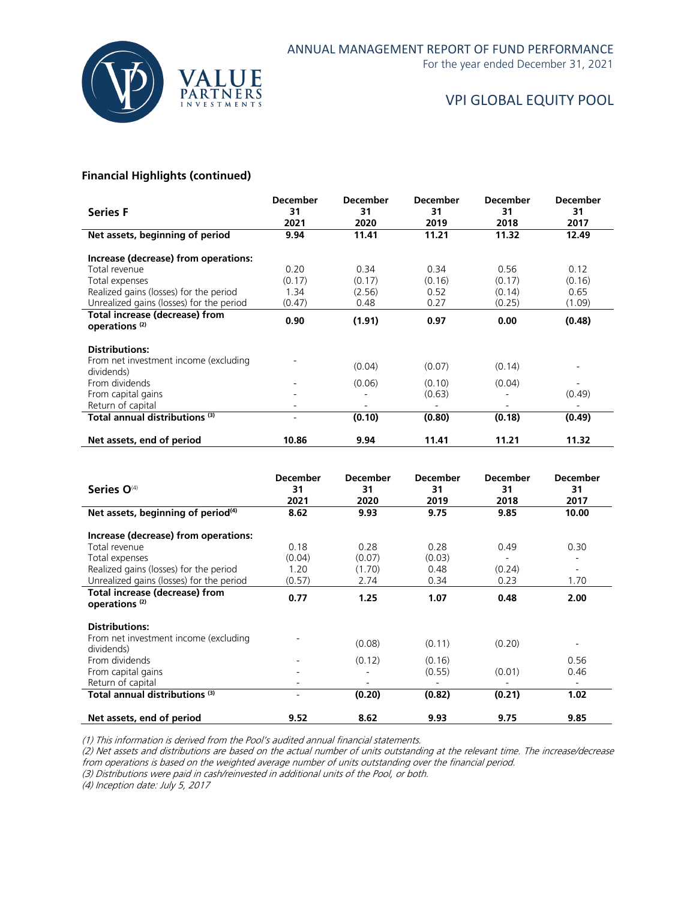

For the year ended December 31, 2021

## VPI GLOBAL EQUITY POOL

#### **Financial Highlights (continued)**

| <b>Series F</b>                                                              | <b>December</b><br>31<br>2021 | <b>December</b><br>31<br>2020 | <b>December</b><br>31<br>2019 | <b>December</b><br>31<br>2018 | <b>December</b><br>31<br>2017 |
|------------------------------------------------------------------------------|-------------------------------|-------------------------------|-------------------------------|-------------------------------|-------------------------------|
| Net assets, beginning of period                                              | 9.94                          | 11.41                         | 11.21                         | 11.32                         | 12.49                         |
| Increase (decrease) from operations:                                         |                               |                               |                               |                               |                               |
| Total revenue                                                                | 0.20                          | 0.34                          | 0.34                          | 0.56                          | 0.12                          |
| Total expenses                                                               | (0.17)                        | (0.17)                        | (0.16)                        | (0.17)                        | (0.16)                        |
| Realized gains (losses) for the period                                       | 1.34                          | (2.56)                        | 0.52                          | (0.14)                        | 0.65                          |
| Unrealized gains (losses) for the period                                     | (0.47)                        | 0.48                          | 0.27                          | (0.25)                        | (1.09)                        |
| Total increase (decrease) from<br>operations <sup>(2)</sup>                  | 0.90                          | (1.91)                        | 0.97                          | 0.00                          | (0.48)                        |
| <b>Distributions:</b><br>From net investment income (excluding<br>dividends) |                               | (0.04)                        | (0.07)                        | (0.14)                        |                               |
| From dividends                                                               |                               | (0.06)                        | (0.10)                        | (0.04)                        |                               |
| From capital gains                                                           |                               |                               | (0.63)                        |                               | (0.49)                        |
| Return of capital                                                            |                               |                               |                               |                               |                               |
| Total annual distributions <sup>(3)</sup>                                    |                               | (0.10)                        | (0.80)                        | (0.18)                        | (0.49)                        |
| Net assets, end of period                                                    | 10.86                         | 9.94                          | 11.41                         | 11.21                         | 11.32                         |

| Series O <sup>(4)</sup>                                     | <b>December</b><br>31<br>2021 | <b>December</b><br>31<br>2020 | <b>December</b><br>31<br>2019 | <b>December</b><br>31<br>2018 | <b>December</b><br>31<br>2017 |
|-------------------------------------------------------------|-------------------------------|-------------------------------|-------------------------------|-------------------------------|-------------------------------|
| Net assets, beginning of period <sup>(4)</sup>              | 8.62                          | 9.93                          | 9.75                          | 9.85                          | 10.00                         |
| Increase (decrease) from operations:                        |                               |                               |                               |                               |                               |
| Total revenue                                               | 0.18                          | 0.28                          | 0.28                          | 0.49                          | 0.30                          |
| Total expenses                                              | (0.04)                        | (0.07)                        | (0.03)                        |                               | -                             |
| Realized gains (losses) for the period                      | 1.20                          | (1.70)                        | 0.48                          | (0.24)                        | $\overline{\phantom{a}}$      |
| Unrealized gains (losses) for the period                    | (0.57)                        | 2.74                          | 0.34                          | 0.23                          | 1.70                          |
| Total increase (decrease) from<br>operations <sup>(2)</sup> | 0.77                          | 1.25                          | 1.07                          | 0.48                          | 2.00                          |
| <b>Distributions:</b>                                       |                               |                               |                               |                               |                               |
| From net investment income (excluding<br>dividends)         |                               | (0.08)                        | (0.11)                        | (0.20)                        | ۰                             |
| From dividends                                              |                               | (0.12)                        | (0.16)                        |                               | 0.56                          |
| From capital gains                                          |                               |                               | (0.55)                        | (0.01)                        | 0.46                          |
| Return of capital                                           |                               |                               |                               |                               | $\overline{\phantom{a}}$      |
| Total annual distributions <sup>(3)</sup>                   | ۰                             | (0.20)                        | (0.82)                        | (0.21)                        | 1.02                          |
| Net assets, end of period                                   | 9.52                          | 8.62                          | 9.93                          | 9.75                          | 9.85                          |

(1) This information is derived from the Pool's audited annual financial statements.

(2) Net assets and distributions are based on the actual number of units outstanding at the relevant time. The increase/decrease from operations is based on the weighted average number of units outstanding over the financial period.

(3) Distributions were paid in cash/reinvested in additional units of the Pool, or both.

(4) Inception date: July 5, 2017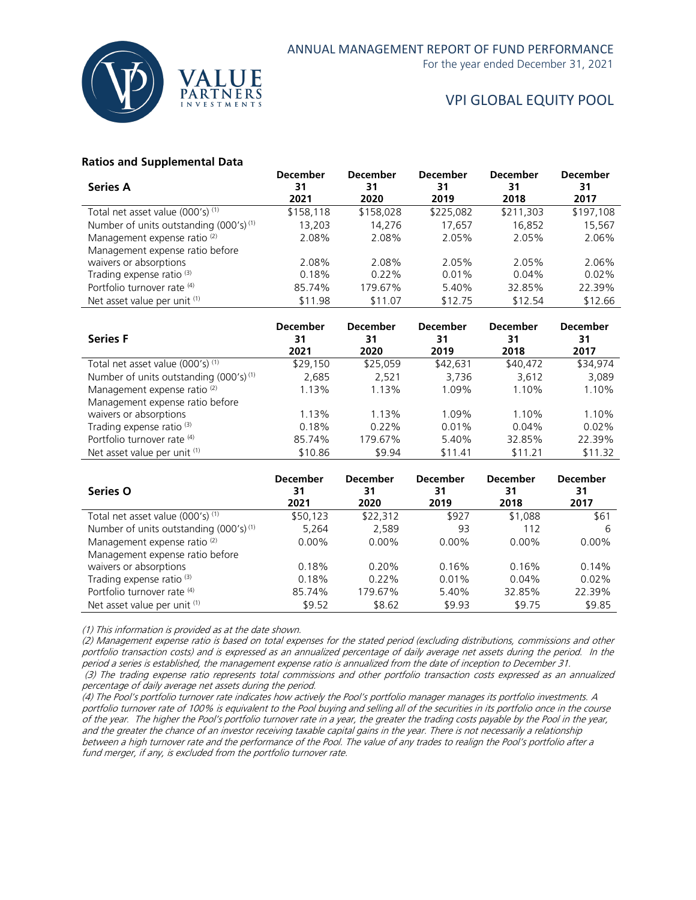

For the year ended December 31, 2021

## VPI GLOBAL EQUITY POOL

#### **Ratios and Supplemental Data**

| <b>Series A</b>                                    | <b>December</b><br>31 | <b>December</b><br>31 | <b>December</b><br>31 | <b>December</b><br>31 | <b>December</b><br>31 |
|----------------------------------------------------|-----------------------|-----------------------|-----------------------|-----------------------|-----------------------|
|                                                    | 2021                  | 2020                  | 2019                  | 2018                  | 2017                  |
| Total net asset value (000's) (1)                  | \$158,118             | \$158,028             | \$225,082             | \$211,303             | \$197,108             |
| Number of units outstanding (000's) <sup>(1)</sup> | 13.203                | 14.276                | 17.657                | 16.852                | 15,567                |
| Management expense ratio <sup>(2)</sup>            | 2.08%                 | 2.08%                 | 2.05%                 | 2.05%                 | 2.06%                 |
| Management expense ratio before                    |                       |                       |                       |                       |                       |
| waivers or absorptions                             | 2.08%                 | 2.08%                 | 2.05%                 | 2.05%                 | 2.06%                 |
| Trading expense ratio <sup>(3)</sup>               | 0.18%                 | $0.22\%$              | $0.01\%$              | $0.04\%$              | 0.02%                 |
| Portfolio turnover rate (4)                        | 85.74%                | 179.67%               | 5.40%                 | 32.85%                | 22.39%                |
| Net asset value per unit (1)                       | \$11.98               | \$11.07               | \$12.75               | \$12.54               | \$12.66               |
|                                                    |                       |                       |                       |                       |                       |

| <b>Series F</b>                                    | <b>December</b><br>31<br>2021 | <b>December</b><br>31<br>2020 | <b>December</b><br>31<br>2019 | <b>December</b><br>31<br>2018 | <b>December</b><br>31<br>2017 |
|----------------------------------------------------|-------------------------------|-------------------------------|-------------------------------|-------------------------------|-------------------------------|
| Total net asset value (000's) (1)                  | \$29,150                      | \$25.059                      | \$42.631                      | \$40,472                      | \$34.974                      |
| Number of units outstanding (000's) <sup>(1)</sup> | 2,685                         | 2,521                         | 3,736                         | 3,612                         | 3,089                         |
| Management expense ratio <sup>(2)</sup>            | 1.13%                         | 1.13%                         | 1.09%                         | 1.10%                         | 1.10%                         |
| Management expense ratio before                    |                               |                               |                               |                               |                               |
| waivers or absorptions                             | 1.13%                         | 1.13%                         | 1.09%                         | 1.10%                         | 1.10%                         |
| Trading expense ratio <sup>(3)</sup>               | 0.18%                         | $0.22\%$                      | 0.01%                         | 0.04%                         | $0.02\%$                      |
| Portfolio turnover rate (4)                        | 85.74%                        | 179.67%                       | 5.40%                         | 32.85%                        | 22.39%                        |
| Net asset value per unit (1)                       | \$10.86                       | \$9.94                        | \$11.41                       | \$11.21                       | \$11.32                       |

| <b>Series O</b>                                    | <b>December</b><br>31<br>2021 | <b>December</b><br>31<br>2020 | <b>December</b><br>31<br>2019 | <b>December</b><br>31<br>2018 | <b>December</b><br>31<br>2017 |
|----------------------------------------------------|-------------------------------|-------------------------------|-------------------------------|-------------------------------|-------------------------------|
| Total net asset value (000's) (1)                  | \$50,123                      | \$22,312                      | \$927                         | \$1,088                       | \$61                          |
| Number of units outstanding (000's) <sup>(1)</sup> | 5,264                         | 2,589                         | 93                            | 112                           | 6                             |
| Management expense ratio <sup>(2)</sup>            | $0.00\%$                      | $0.00\%$                      | $0.00\%$                      | $0.00\%$                      | $0.00\%$                      |
| Management expense ratio before                    |                               |                               |                               |                               |                               |
| waivers or absorptions                             | 0.18%                         | 0.20%                         | 0.16%                         | 0.16%                         | 0.14%                         |
| Trading expense ratio <sup>(3)</sup>               | 0.18%                         | $0.22\%$                      | 0.01%                         | 0.04%                         | 0.02%                         |
| Portfolio turnover rate (4)                        | 85.74%                        | 179.67%                       | 5.40%                         | 32.85%                        | 22.39%                        |
| Net asset value per unit (1)                       | \$9.52                        | \$8.62                        | \$9.93                        | \$9.75                        | \$9.85                        |

(1) This information is provided as at the date shown.

(2) Management expense ratio is based on total expenses for the stated period (excluding distributions, commissions and other portfolio transaction costs) and is expressed as an annualized percentage of daily average net assets during the period. In the period a series is established, the management expense ratio is annualized from the date of inception to December 31. (3) The trading expense ratio represents total commissions and other portfolio transaction costs expressed as an annualized

percentage of daily average net assets during the period.

(4) The Pool's portfolio turnover rate indicates how actively the Pool's portfolio manager manages its portfolio investments. A portfolio turnover rate of 100% is equivalent to the Pool buying and selling all of the securities in its portfolio once in the course of the year. The higher the Pool's portfolio turnover rate in a year, the greater the trading costs payable by the Pool in the year, and the greater the chance of an investor receiving taxable capital gains in the year. There is not necessarily a relationship between a high turnover rate and the performance of the Pool. The value of any trades to realign the Pool's portfolio after a fund merger, if any, is excluded from the portfolio turnover rate.